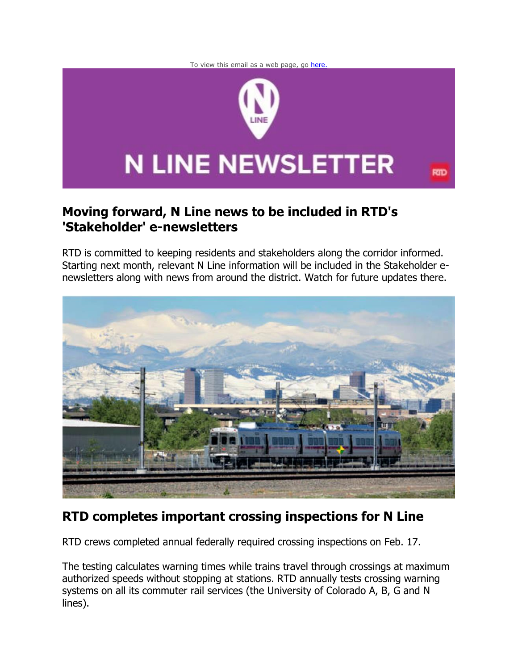



### **Moving forward, N Line news to be included in RTD's 'Stakeholder' e-newsletters**

RTD is committed to keeping residents and stakeholders along the corridor informed. Starting next month, relevant N Line information will be included in the Stakeholder enewsletters along with news from around the district. Watch for future updates there.



## **RTD completes important crossing inspections for N Line**

RTD crews completed annual federally required crossing inspections on Feb. 17.

The testing calculates warning times while trains travel through crossings at maximum authorized speeds without stopping at stations. RTD annually tests crossing warning systems on all its commuter rail services (the University of Colorado A, B, G and N lines).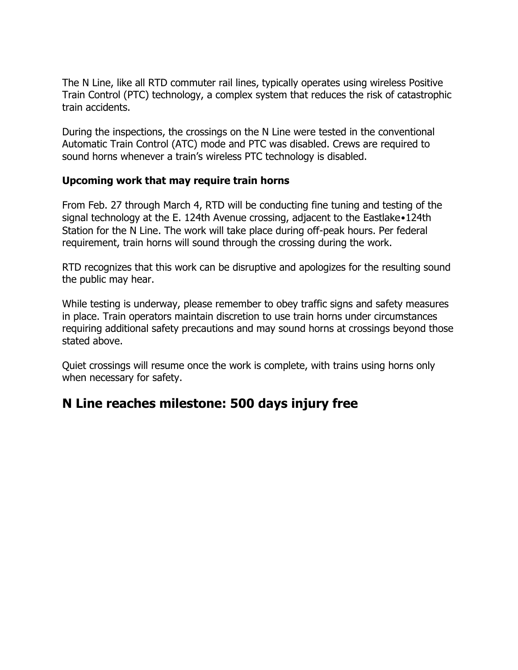The N Line, like all RTD commuter rail lines, typically operates using wireless Positive Train Control (PTC) technology, a complex system that reduces the risk of catastrophic train accidents.

During the inspections, the crossings on the N Line were tested in the conventional Automatic Train Control (ATC) mode and PTC was disabled. Crews are required to sound horns whenever a train's wireless PTC technology is disabled.

#### **Upcoming work that may require train horns**

From Feb. 27 through March 4, RTD will be conducting fine tuning and testing of the signal technology at the E. 124th Avenue crossing, adjacent to the Eastlake•124th Station for the N Line. The work will take place during off-peak hours. Per federal requirement, train horns will sound through the crossing during the work.

RTD recognizes that this work can be disruptive and apologizes for the resulting sound the public may hear.

While testing is underway, please remember to obey traffic signs and safety measures in place. Train operators maintain discretion to use train horns under circumstances requiring additional safety precautions and may sound horns at crossings beyond those stated above.

Quiet crossings will resume once the work is complete, with trains using horns only when necessary for safety.

## **N Line reaches milestone: 500 days injury free**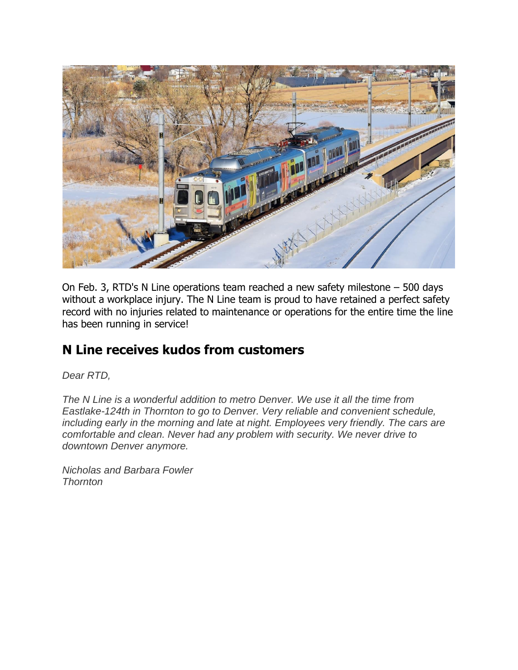

On Feb. 3, RTD's N Line operations team reached a new safety milestone – 500 days without a workplace injury. The N Line team is proud to have retained a perfect safety record with no injuries related to maintenance or operations for the entire time the line has been running in service!

## **N Line receives kudos from customers**

*Dear RTD,* 

*The N Line is a wonderful addition to metro Denver. We use it all the time from Eastlake-124th in Thornton to go to Denver. Very reliable and convenient schedule, including early in the morning and late at night. Employees very friendly. The cars are comfortable and clean. Never had any problem with security. We never drive to downtown Denver anymore.* 

*Nicholas and Barbara Fowler Thornton*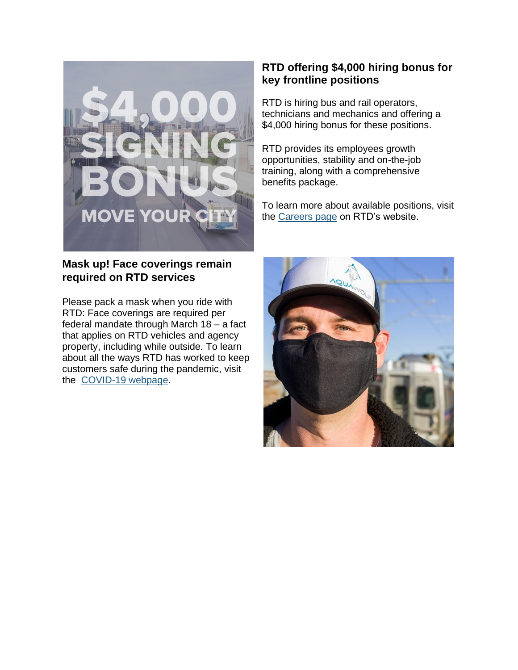

#### **Mask up! Face coverings remain required on RTD services**

Please pack a mask when you ride with RTD: Face coverings are required per federal mandate through March 18 – a fact that applies on RTD vehicles and agency property, including while outside. To learn about all the ways RTD has worked to keep customers safe during the pandemic, visit the [COVID-19 webpage.](https://gcc02.safelinks.protection.outlook.com/?url=https%3A%2F%2Flnks.gd%2Fl%2FeyJhbGciOiJIUzI1NiJ9.eyJidWxsZXRpbl9saW5rX2lkIjoxMTYsInVyaSI6ImJwMjpjbGljayIsImJ1bGxldGluX2lkIjoiMjAyMTEwMDEuNDY3NzkyMTEiLCJ1cmwiOiJodHRwczovL3d3dy5ydGQtZGVudmVyLmNvbS9jb3JvbmF2aXJ1cyJ9.gPOlJnkBe6F0MeVOMpSplPcGefQFjLv36ZWsSM729Uk%2Fs%2F972190760%2Fbr%2F113269691093-l&data=04%7C01%7CPauline.Haberman%40RTD-Denver.com%7C3d90c24e7a07479550dc08d9f30794a5%7C051820892b8a4c82864baa265b61fa57%7C0%7C0%7C637808036179873092%7CUnknown%7CTWFpbGZsb3d8eyJWIjoiMC4wLjAwMDAiLCJQIjoiV2luMzIiLCJBTiI6Ik1haWwiLCJXVCI6Mn0%3D%7C3000&sdata=S13cZs4J8f1sGvLYw4mkdMD6ivgTpKAyk1yOeO%2FRGGo%3D&reserved=0)

### **RTD offering \$4,000 hiring bonus for key frontline positions**

RTD is hiring bus and rail operators, technicians and mechanics and offering a \$4,000 hiring bonus for these positions.

RTD provides its employees growth opportunities, stability and on-the-job training, along with a comprehensive benefits package.

To learn more about available positions, visit the [Careers page](https://gcc02.safelinks.protection.outlook.com/?url=https%3A%2F%2Flnks.gd%2Fl%2FeyJhbGciOiJIUzI1NiJ9.eyJidWxsZXRpbl9saW5rX2lkIjoxMDEsInVyaSI6ImJwMjpjbGljayIsImJ1bGxldGluX2lkIjoiMjAyMTExMTguNDkwMzA2MjEiLCJ1cmwiOiJodHRwczovL3d3dy5ydGQtZGVudmVyLmNvbS9jYXJlZXJzIn0.VRii8O1J7f3mk3cIJ9gJx2HFMRhXPf_Qby7ihpOd8hc%2Fs%2F972190760%2Fbr%2F121198456567-l&data=04%7C01%7CPauline.Haberman%40RTD-Denver.com%7C3d90c24e7a07479550dc08d9f30794a5%7C051820892b8a4c82864baa265b61fa57%7C0%7C0%7C637808036179873092%7CUnknown%7CTWFpbGZsb3d8eyJWIjoiMC4wLjAwMDAiLCJQIjoiV2luMzIiLCJBTiI6Ik1haWwiLCJXVCI6Mn0%3D%7C3000&sdata=vcBKc0DdsR8JueQ2KsmkvHG8Vf5qmomDZH%2Bsmf7x4qY%3D&reserved=0) on RTD's website.